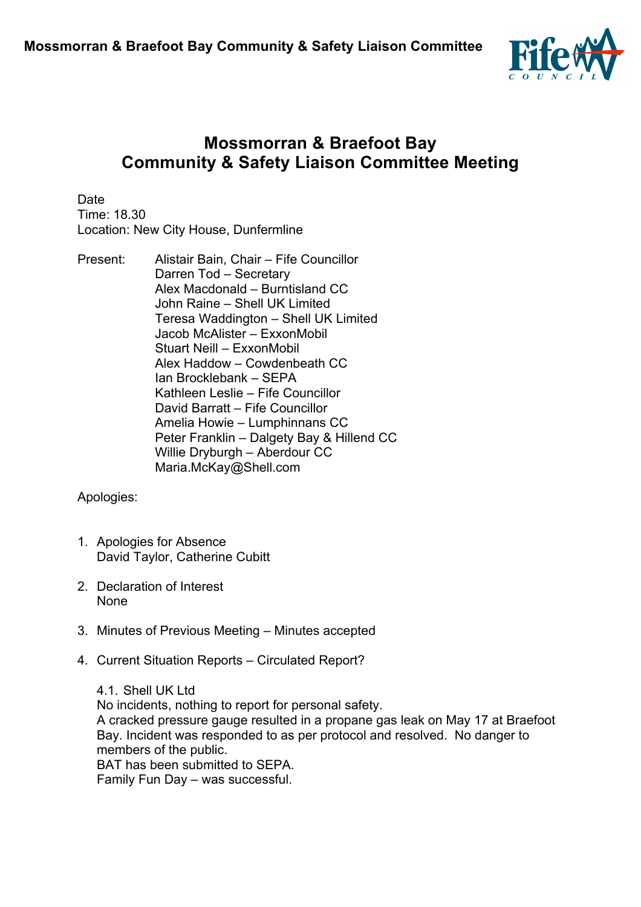

## **Mossmorran & Braefoot Bay Community & Safety Liaison Committee Meeting**

**Date** Time: 18.30 Location: New City House, Dunfermline

Present: Alistair Bain, Chair – Fife Councillor Darren Tod – Secretary Alex Macdonald – Burntisland CC John Raine – Shell UK Limited Teresa Waddington – Shell UK Limited Jacob McAlister – ExxonMobil Stuart Neill – ExxonMobil Alex Haddow – Cowdenbeath CC Ian Brocklebank – SEPA Kathleen Leslie – Fife Councillor David Barratt – Fife Councillor Amelia Howie – Lumphinnans CC Peter Franklin – Dalgety Bay & Hillend CC Willie Dryburgh – Aberdour CC Maria.McKay@Shell.com

Apologies:

- 1. Apologies for Absence David Taylor, Catherine Cubitt
- 2. Declaration of Interest None
- 3. Minutes of Previous Meeting Minutes accepted
- 4. Current Situation Reports Circulated Report?

4.1. Shell UK Ltd No incidents, nothing to report for personal safety. A cracked pressure gauge resulted in a propane gas leak on May 17 at Braefoot Bay. Incident was responded to as per protocol and resolved. No danger to members of the public. BAT has been submitted to SEPA. Family Fun Day – was successful.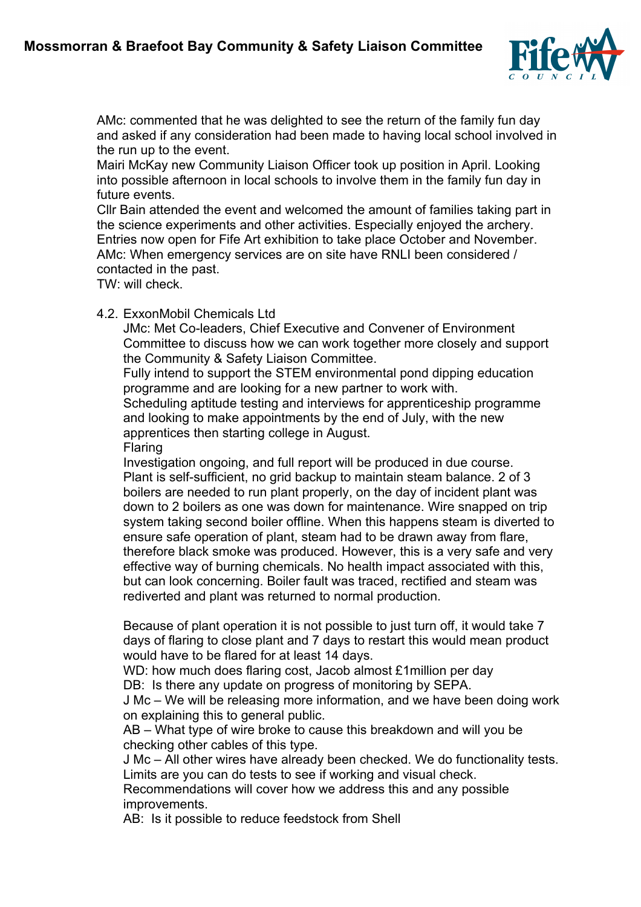

AMc: commented that he was delighted to see the return of the family fun day and asked if any consideration had been made to having local school involved in the run up to the event.

Mairi McKay new Community Liaison Officer took up position in April. Looking into possible afternoon in local schools to involve them in the family fun day in future events.

Cllr Bain attended the event and welcomed the amount of families taking part in the science experiments and other activities. Especially enjoyed the archery. Entries now open for Fife Art exhibition to take place October and November. AMc: When emergency services are on site have RNLI been considered / contacted in the past.

TW: will check.

4.2. ExxonMobil Chemicals Ltd

JMc: Met Co-leaders, Chief Executive and Convener of Environment Committee to discuss how we can work together more closely and support the Community & Safety Liaison Committee.

Fully intend to support the STEM environmental pond dipping education programme and are looking for a new partner to work with.

Scheduling aptitude testing and interviews for apprenticeship programme and looking to make appointments by the end of July, with the new apprentices then starting college in August.

Flaring

Investigation ongoing, and full report will be produced in due course. Plant is self-sufficient, no grid backup to maintain steam balance. 2 of 3 boilers are needed to run plant properly, on the day of incident plant was down to 2 boilers as one was down for maintenance. Wire snapped on trip system taking second boiler offline. When this happens steam is diverted to ensure safe operation of plant, steam had to be drawn away from flare, therefore black smoke was produced. However, this is a very safe and very effective way of burning chemicals. No health impact associated with this, but can look concerning. Boiler fault was traced, rectified and steam was rediverted and plant was returned to normal production.

Because of plant operation it is not possible to just turn off, it would take 7 days of flaring to close plant and 7 days to restart this would mean product would have to be flared for at least 14 days.

WD: how much does flaring cost, Jacob almost £1 million per day

DB: Is there any update on progress of monitoring by SEPA.

J Mc – We will be releasing more information, and we have been doing work on explaining this to general public.

AB – What type of wire broke to cause this breakdown and will you be checking other cables of this type.

J Mc – All other wires have already been checked. We do functionality tests. Limits are you can do tests to see if working and visual check.

Recommendations will cover how we address this and any possible improvements.

AB: Is it possible to reduce feedstock from Shell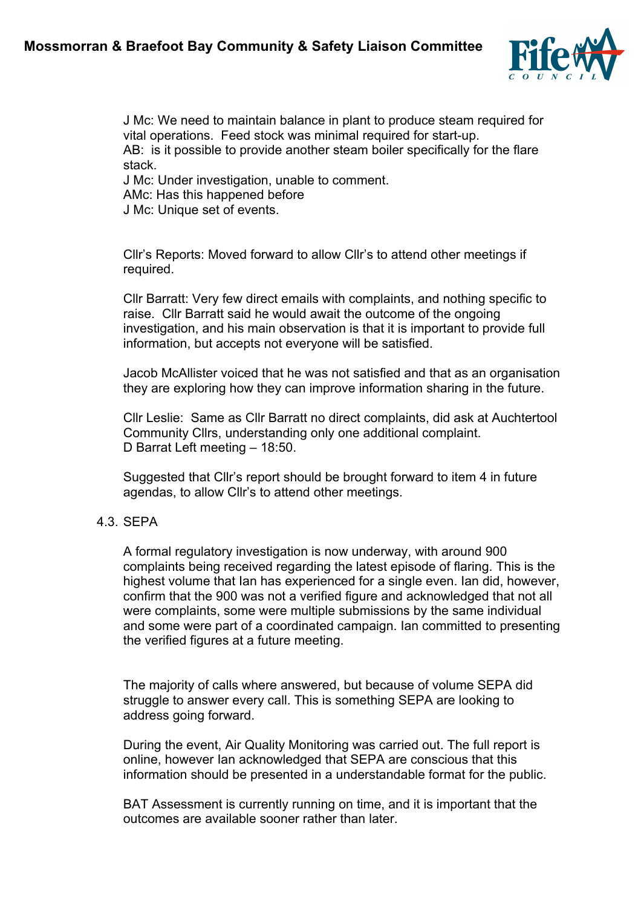## **Mossmorran & Braefoot Bay Community & Safety Liaison Committee**



J Mc: We need to maintain balance in plant to produce steam required for vital operations. Feed stock was minimal required for start-up. AB: is it possible to provide another steam boiler specifically for the flare stack.

J Mc: Under investigation, unable to comment.

AMc: Has this happened before

J Mc: Unique set of events.

Cllr's Reports: Moved forward to allow Cllr's to attend other meetings if required.

Cllr Barratt: Very few direct emails with complaints, and nothing specific to raise. Cllr Barratt said he would await the outcome of the ongoing investigation, and his main observation is that it is important to provide full information, but accepts not everyone will be satisfied.

Jacob McAllister voiced that he was not satisfied and that as an organisation they are exploring how they can improve information sharing in the future.

Cllr Leslie: Same as Cllr Barratt no direct complaints, did ask at Auchtertool Community Cllrs, understanding only one additional complaint. D Barrat Left meeting – 18:50.

Suggested that Cllr's report should be brought forward to item 4 in future agendas, to allow Cllr's to attend other meetings.

## 4.3. SEPA

A formal regulatory investigation is now underway, with around 900 complaints being received regarding the latest episode of flaring. This is the highest volume that Ian has experienced for a single even. Ian did, however, confirm that the 900 was not a verified figure and acknowledged that not all were complaints, some were multiple submissions by the same individual and some were part of a coordinated campaign. Ian committed to presenting the verified figures at a future meeting.

The majority of calls where answered, but because of volume SEPA did struggle to answer every call. This is something SEPA are looking to address going forward.

During the event, Air Quality Monitoring was carried out. The full report is online, however Ian acknowledged that SEPA are conscious that this information should be presented in a understandable format for the public.

BAT Assessment is currently running on time, and it is important that the outcomes are available sooner rather than later.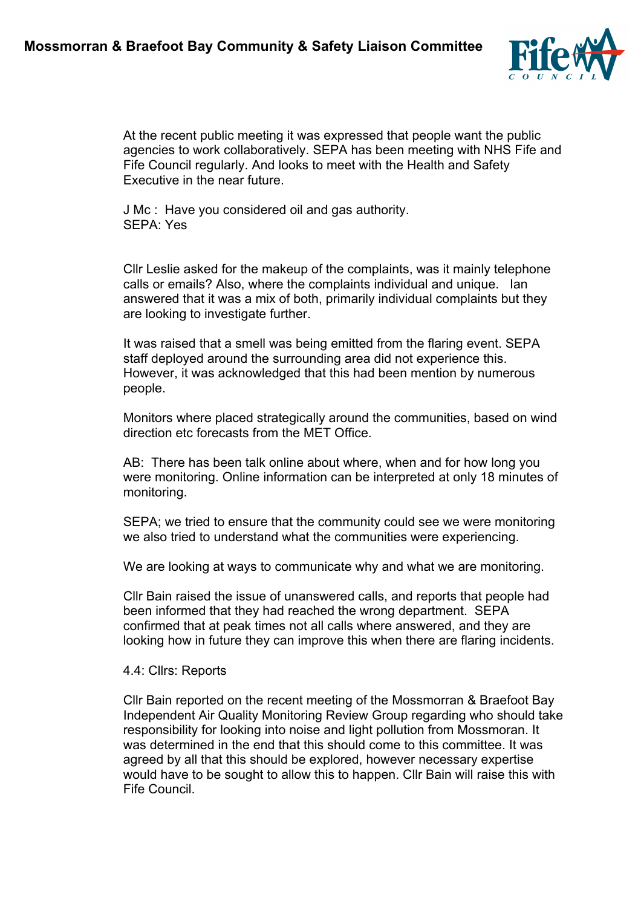

At the recent public meeting it was expressed that people want the public agencies to work collaboratively. SEPA has been meeting with NHS Fife and Fife Council regularly. And looks to meet with the Health and Safety Executive in the near future.

J Mc : Have you considered oil and gas authority. SEPA: Yes

Cllr Leslie asked for the makeup of the complaints, was it mainly telephone calls or emails? Also, where the complaints individual and unique. Ian answered that it was a mix of both, primarily individual complaints but they are looking to investigate further.

It was raised that a smell was being emitted from the flaring event. SEPA staff deployed around the surrounding area did not experience this. However, it was acknowledged that this had been mention by numerous people.

Monitors where placed strategically around the communities, based on wind direction etc forecasts from the MET Office.

AB: There has been talk online about where, when and for how long you were monitoring. Online information can be interpreted at only 18 minutes of monitoring.

SEPA; we tried to ensure that the community could see we were monitoring we also tried to understand what the communities were experiencing.

We are looking at ways to communicate why and what we are monitoring.

Cllr Bain raised the issue of unanswered calls, and reports that people had been informed that they had reached the wrong department. SEPA confirmed that at peak times not all calls where answered, and they are looking how in future they can improve this when there are flaring incidents.

## 4.4: Cllrs: Reports

Cllr Bain reported on the recent meeting of the Mossmorran & Braefoot Bay Independent Air Quality Monitoring Review Group regarding who should take responsibility for looking into noise and light pollution from Mossmoran. It was determined in the end that this should come to this committee. It was agreed by all that this should be explored, however necessary expertise would have to be sought to allow this to happen. Cllr Bain will raise this with Fife Council.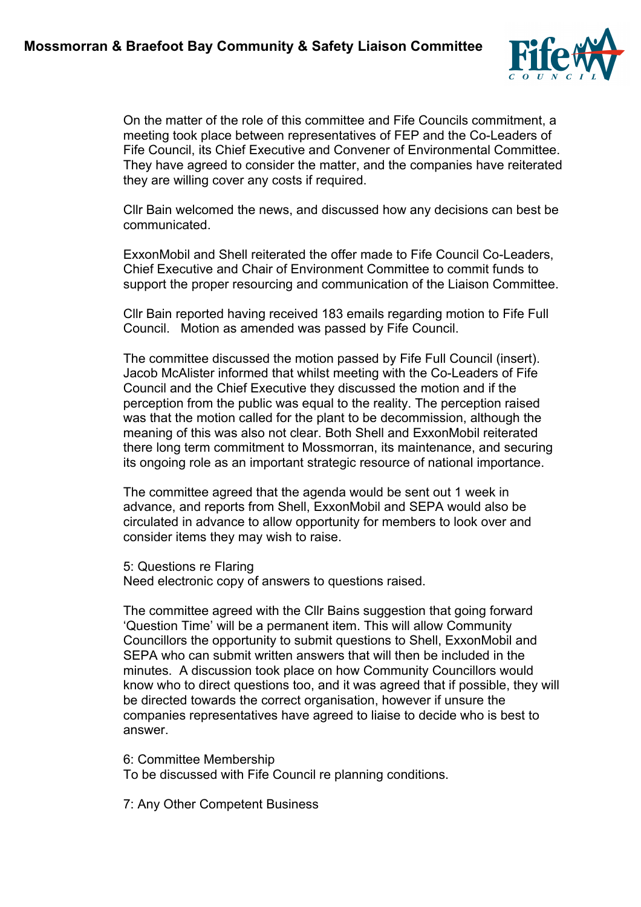

On the matter of the role of this committee and Fife Councils commitment, a meeting took place between representatives of FEP and the Co-Leaders of Fife Council, its Chief Executive and Convener of Environmental Committee. They have agreed to consider the matter, and the companies have reiterated they are willing cover any costs if required.

Cllr Bain welcomed the news, and discussed how any decisions can best be communicated.

ExxonMobil and Shell reiterated the offer made to Fife Council Co-Leaders, Chief Executive and Chair of Environment Committee to commit funds to support the proper resourcing and communication of the Liaison Committee.

Cllr Bain reported having received 183 emails regarding motion to Fife Full Council. Motion as amended was passed by Fife Council.

The committee discussed the motion passed by Fife Full Council (insert). Jacob McAlister informed that whilst meeting with the Co-Leaders of Fife Council and the Chief Executive they discussed the motion and if the perception from the public was equal to the reality. The perception raised was that the motion called for the plant to be decommission, although the meaning of this was also not clear. Both Shell and ExxonMobil reiterated there long term commitment to Mossmorran, its maintenance, and securing its ongoing role as an important strategic resource of national importance.

The committee agreed that the agenda would be sent out 1 week in advance, and reports from Shell, ExxonMobil and SEPA would also be circulated in advance to allow opportunity for members to look over and consider items they may wish to raise.

5: Questions re Flaring

Need electronic copy of answers to questions raised.

The committee agreed with the Cllr Bains suggestion that going forward 'Question Time' will be a permanent item. This will allow Community Councillors the opportunity to submit questions to Shell, ExxonMobil and SEPA who can submit written answers that will then be included in the minutes. A discussion took place on how Community Councillors would know who to direct questions too, and it was agreed that if possible, they will be directed towards the correct organisation, however if unsure the companies representatives have agreed to liaise to decide who is best to answer.

6: Committee Membership

To be discussed with Fife Council re planning conditions.

7: Any Other Competent Business